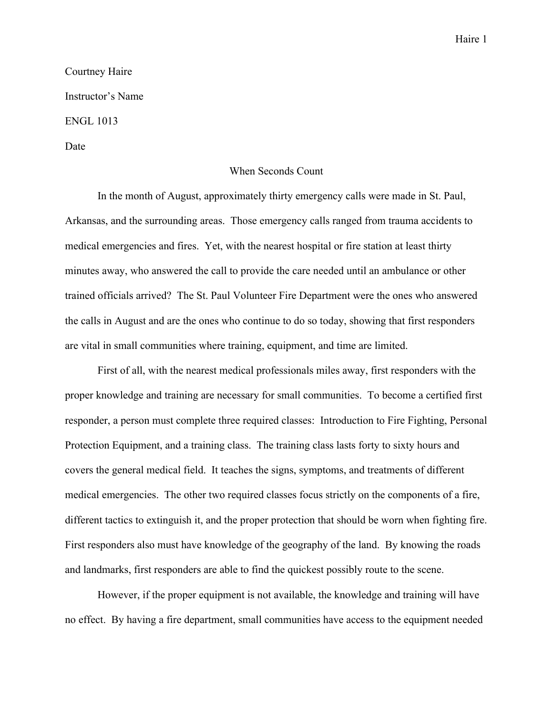## Courtney Haire Instructor's Name ENGL 1013

Date

## When Seconds Count

In the month of August, approximately thirty emergency calls were made in St. Paul, Arkansas, and the surrounding areas. Those emergency calls ranged from trauma accidents to medical emergencies and fires. Yet, with the nearest hospital or fire station at least thirty minutes away, who answered the call to provide the care needed until an ambulance or other trained officials arrived? The St. Paul Volunteer Fire Department were the ones who answered the calls in August and are the ones who continue to do so today, showing that first responders are vital in small communities where training, equipment, and time are limited.

First of all, with the nearest medical professionals miles away, first responders with the proper knowledge and training are necessary for small communities. To become a certified first responder, a person must complete three required classes: Introduction to Fire Fighting, Personal Protection Equipment, and a training class. The training class lasts forty to sixty hours and covers the general medical field. It teaches the signs, symptoms, and treatments of different medical emergencies. The other two required classes focus strictly on the components of a fire, different tactics to extinguish it, and the proper protection that should be worn when fighting fire. First responders also must have knowledge of the geography of the land. By knowing the roads and landmarks, first responders are able to find the quickest possibly route to the scene.

However, if the proper equipment is not available, the knowledge and training will have no effect. By having a fire department, small communities have access to the equipment needed

## Haire 1